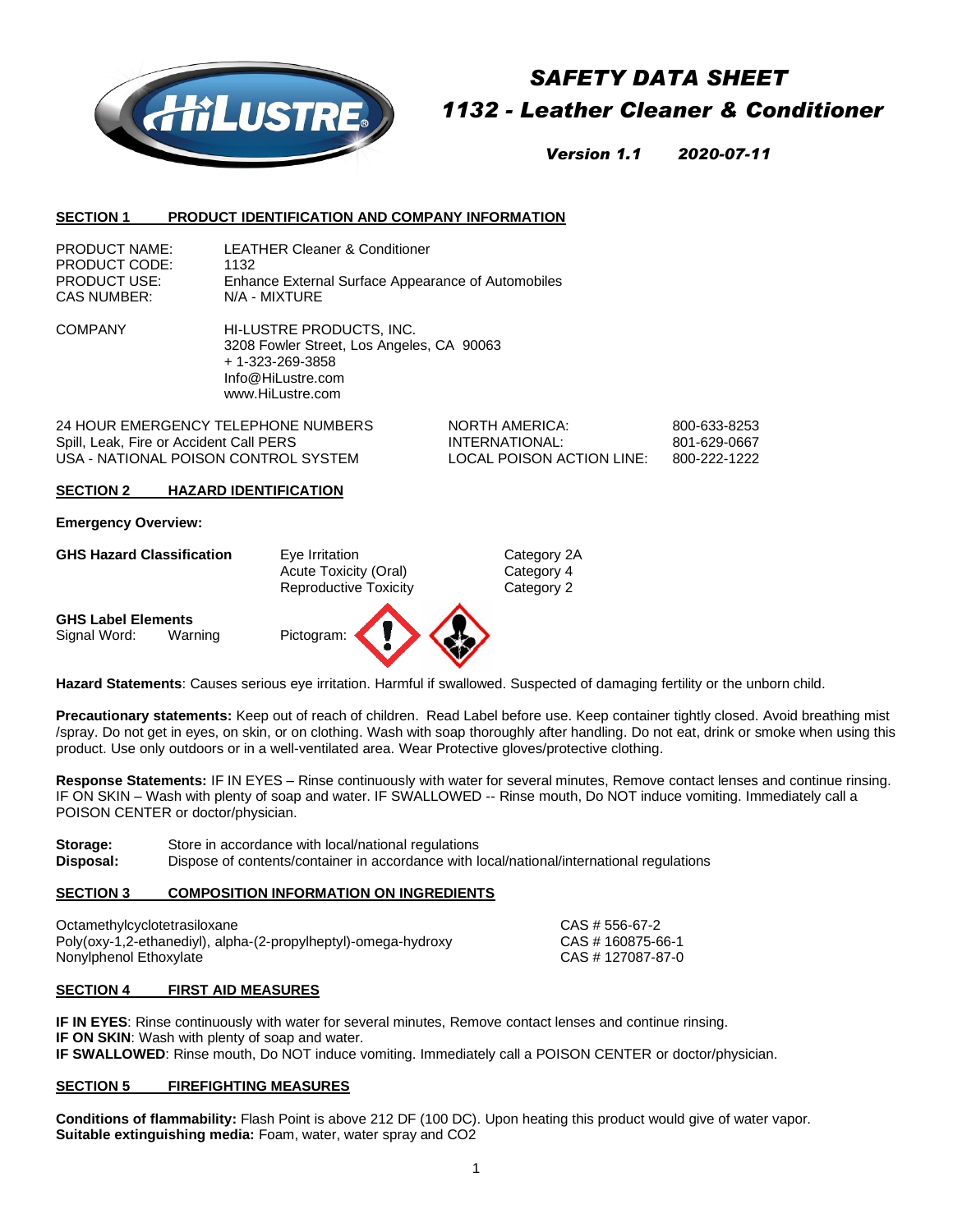

# *SAFETY DATA SHEET 1132 - Leather Cleaner & Conditioner*

*Version 1.1 2020-07-11*

## **SECTION 1 PRODUCT IDENTIFICATION AND COMPANY INFORMATION**

| <b>PRODUCT NAME:</b> | <b>LEATHER Cleaner &amp; Conditioner</b>           |
|----------------------|----------------------------------------------------|
| PRODUCT CODE:        | 1132                                               |
| <b>PRODUCT USE:</b>  | Enhance External Surface Appearance of Automobiles |
| CAS NUMBER:          | N/A - MIXTURE                                      |

COMPANY HI-LUSTRE PRODUCTS, INC. 3208 Fowler Street, Los Angeles, CA 90063 + 1-323-269-3858 Info@HiLustre.com www.HiLustre.com

24 HOUR EMERGENCY TELEPHONE NUMBERS NORTH AMERICA: 800-633-8253 Spill, Leak, Fire or Accident Call PERS **INTERNATIONAL:** 801-629-0667 USA - NATIONAL POISON CONTROL SYSTEM LOCAL POISON ACTION LINE: 800-222-1222

## **SECTION 2 HAZARD IDENTIFICATION**

**Emergency Overview:**

GHS Hazard Classification **Eye Irritation** Exercise Category 2A Acute Toxicity (Oral) Category 4 Reproductive Toxicity **Category 2** 

**GHS Label Elements** Signal Word: Warning Pictogram:



**Hazard Statements**: Causes serious eye irritation. Harmful if swallowed. Suspected of damaging fertility or the unborn child.

**Precautionary statements:** Keep out of reach of children. Read Label before use. Keep container tightly closed. Avoid breathing mist /spray. Do not get in eyes, on skin, or on clothing. Wash with soap thoroughly after handling. Do not eat, drink or smoke when using this product. Use only outdoors or in a well-ventilated area. Wear Protective gloves/protective clothing.

**Response Statements:** IF IN EYES – Rinse continuously with water for several minutes, Remove contact lenses and continue rinsing. IF ON SKIN – Wash with plenty of soap and water. IF SWALLOWED -- Rinse mouth, Do NOT induce vomiting. Immediately call a POISON CENTER or doctor/physician.

**Storage:** Store in accordance with local/national regulations **Disposal:** Dispose of contents/container in accordance with local/national/international regulations

## **SECTION 3 COMPOSITION INFORMATION ON INGREDIENTS**

Octamethylcyclotetrasiloxane CAS # 556-67-2 Poly(oxy-1,2-ethanediyl), alpha-(2-propylheptyl)-omega-hydroxy CAS # 160875-66-1 Nonylphenol Ethoxylate CAS # 127087-87-0

## **SECTION 4 FIRST AID MEASURES**

**IF IN EYES**: Rinse continuously with water for several minutes, Remove contact lenses and continue rinsing. **IF ON SKIN**: Wash with plenty of soap and water. **IF SWALLOWED**: Rinse mouth, Do NOT induce vomiting. Immediately call a POISON CENTER or doctor/physician.

## **SECTION 5 FIREFIGHTING MEASURES**

**Conditions of flammability:** Flash Point is above 212 DF (100 DC). Upon heating this product would give of water vapor. **Suitable extinguishing media:** Foam, water, water spray and CO2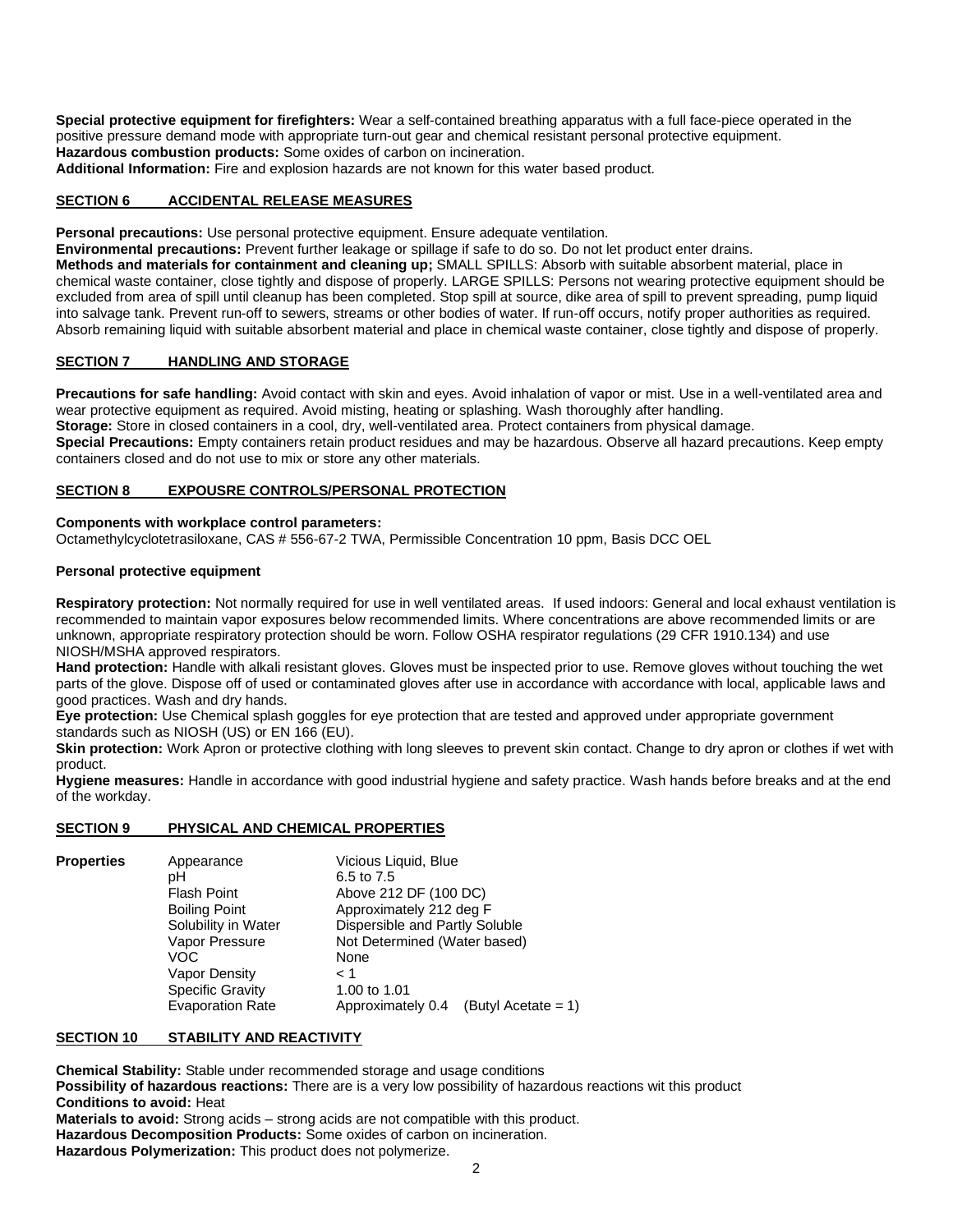**Special protective equipment for firefighters:** Wear a self-contained breathing apparatus with a full face-piece operated in the positive pressure demand mode with appropriate turn-out gear and chemical resistant personal protective equipment. **Hazardous combustion products:** Some oxides of carbon on incineration.

**Additional Information:** Fire and explosion hazards are not known for this water based product.

# **SECTION 6 ACCIDENTAL RELEASE MEASURES**

**Personal precautions:** Use personal protective equipment. Ensure adequate ventilation.

**Environmental precautions:** Prevent further leakage or spillage if safe to do so. Do not let product enter drains. **Methods and materials for containment and cleaning up;** SMALL SPILLS: Absorb with suitable absorbent material, place in chemical waste container, close tightly and dispose of properly. LARGE SPILLS: Persons not wearing protective equipment should be excluded from area of spill until cleanup has been completed. Stop spill at source, dike area of spill to prevent spreading, pump liquid into salvage tank. Prevent run-off to sewers, streams or other bodies of water. If run-off occurs, notify proper authorities as required. Absorb remaining liquid with suitable absorbent material and place in chemical waste container, close tightly and dispose of properly.

## **SECTION 7 HANDLING AND STORAGE**

**Precautions for safe handling:** Avoid contact with skin and eyes. Avoid inhalation of vapor or mist. Use in a well-ventilated area and wear protective equipment as required. Avoid misting, heating or splashing. Wash thoroughly after handling.

**Storage:** Store in closed containers in a cool, dry, well-ventilated area. Protect containers from physical damage.

**Special Precautions:** Empty containers retain product residues and may be hazardous. Observe all hazard precautions. Keep empty containers closed and do not use to mix or store any other materials.

## **SECTION 8 EXPOUSRE CONTROLS/PERSONAL PROTECTION**

## **Components with workplace control parameters:**

Octamethylcyclotetrasiloxane, CAS # 556-67-2 TWA, Permissible Concentration 10 ppm, Basis DCC OEL

## **Personal protective equipment**

**Respiratory protection:** Not normally required for use in well ventilated areas. If used indoors: General and local exhaust ventilation is recommended to maintain vapor exposures below recommended limits. Where concentrations are above recommended limits or are unknown, appropriate respiratory protection should be worn. Follow OSHA respirator regulations (29 CFR 1910.134) and use NIOSH/MSHA approved respirators.

**Hand protection:** Handle with alkali resistant gloves. Gloves must be inspected prior to use. Remove gloves without touching the wet parts of the glove. Dispose off of used or contaminated gloves after use in accordance with accordance with local, applicable laws and good practices. Wash and dry hands.

**Eye protection:** Use Chemical splash goggles for eye protection that are tested and approved under appropriate government standards such as NIOSH (US) or EN 166 (EU).

Skin protection: Work Apron or protective clothing with long sleeves to prevent skin contact. Change to dry apron or clothes if wet with product.

**Hygiene measures:** Handle in accordance with good industrial hygiene and safety practice. Wash hands before breaks and at the end of the workday.

## **SECTION 9 PHYSICAL AND CHEMICAL PROPERTIES**

| <b>Properties</b> | Appearance              | Vicious Liquid, Blue                     |
|-------------------|-------------------------|------------------------------------------|
|                   | pН                      | 6.5 to 7.5                               |
|                   | <b>Flash Point</b>      | Above 212 DF (100 DC)                    |
|                   | <b>Boiling Point</b>    | Approximately 212 deg F                  |
|                   | Solubility in Water     | Dispersible and Partly Soluble           |
|                   | Vapor Pressure          | Not Determined (Water based)             |
|                   | VOC                     | None                                     |
|                   | Vapor Density           | 1 >                                      |
|                   | <b>Specific Gravity</b> | 1.00 to 1.01                             |
|                   | <b>Evaporation Rate</b> | Approximately 0.4<br>(Butyl Acetate = 1) |

## **SECTION 10 STABILITY AND REACTIVITY**

**Chemical Stability:** Stable under recommended storage and usage conditions **Possibility of hazardous reactions:** There are is a very low possibility of hazardous reactions wit this product **Conditions to avoid:** Heat **Materials to avoid:** Strong acids – strong acids are not compatible with this product. **Hazardous Decomposition Products:** Some oxides of carbon on incineration.

**Hazardous Polymerization:** This product does not polymerize.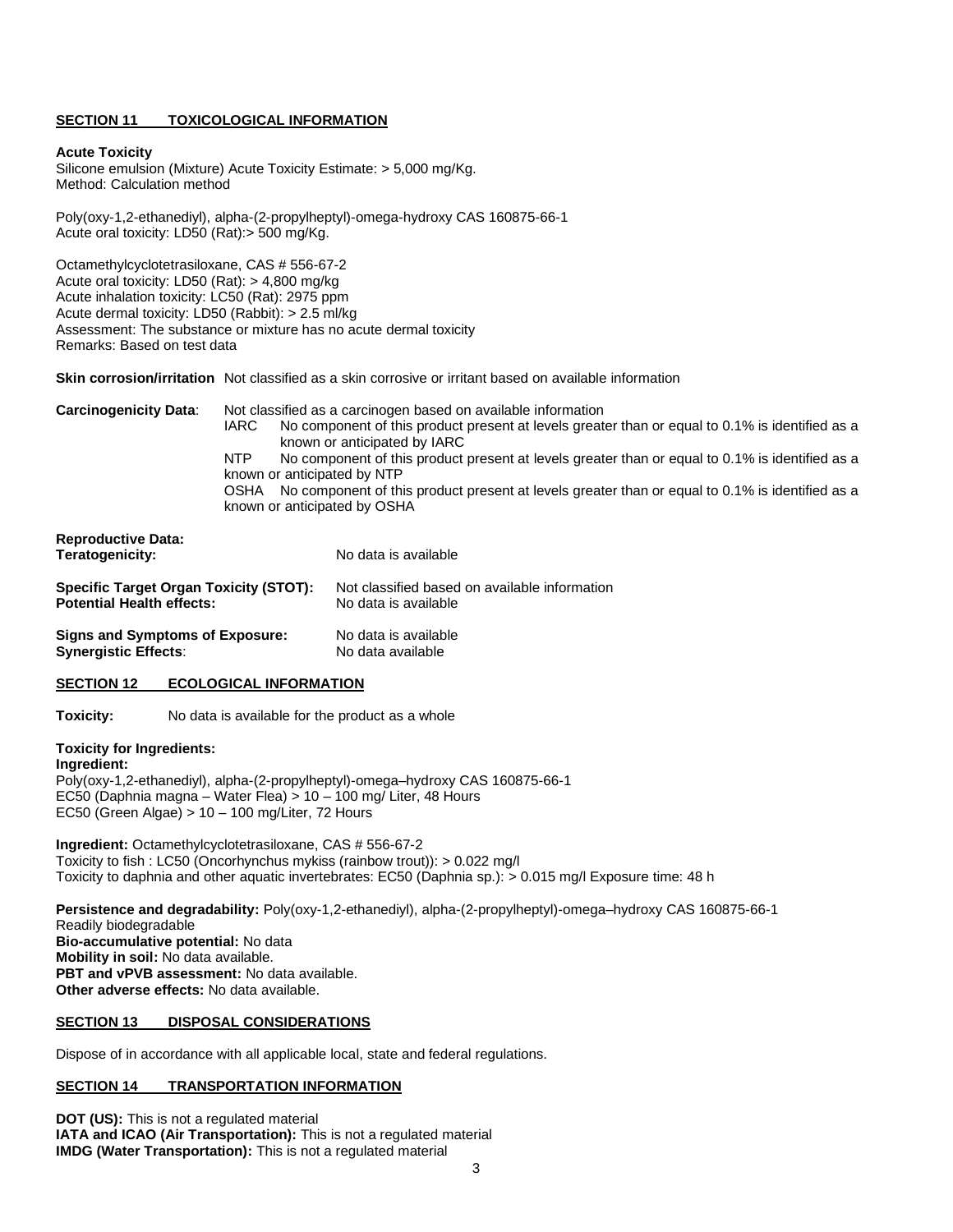## **SECTION 11 TOXICOLOGICAL INFORMATION**

#### **Acute Toxicity**

Silicone emulsion (Mixture) Acute Toxicity Estimate: > 5,000 mg/Kg. Method: Calculation method

Poly(oxy-1,2-ethanediyl), alpha-(2-propylheptyl)-omega-hydroxy CAS 160875-66-1 Acute oral toxicity: LD50 (Rat):> 500 mg/Kg.

Octamethylcyclotetrasiloxane, CAS # 556-67-2 Acute oral toxicity: LD50 (Rat): > 4,800 mg/kg Acute inhalation toxicity: LC50 (Rat): 2975 ppm Acute dermal toxicity: LD50 (Rabbit): > 2.5 ml/kg Assessment: The substance or mixture has no acute dermal toxicity Remarks: Based on test data

**Skin corrosion/irritation** Not classified as a skin corrosive or irritant based on available information

| <b>Carcinogenicity Data:</b> | Not classified as a carcinogen based on available information                                                 |  |  |
|------------------------------|---------------------------------------------------------------------------------------------------------------|--|--|
|                              | No component of this product present at levels greater than or equal to 0.1% is identified as a<br>IARC       |  |  |
|                              | known or anticipated by IARC                                                                                  |  |  |
|                              | No component of this product present at levels greater than or equal to 0.1% is identified as a<br><b>NTP</b> |  |  |
|                              | known or anticipated by NTP                                                                                   |  |  |
|                              | No component of this product present at levels greater than or equal to 0.1% is identified as a<br>OSHA       |  |  |
|                              | known or anticipated by OSHA                                                                                  |  |  |

| <b>Reproductive Data:</b><br>Teratogenicity: | No data is available                          |
|----------------------------------------------|-----------------------------------------------|
| Specific Target Organ Toxicity (STOT):       | Not classified based on available information |
| <b>Potential Health effects:</b>             | No data is available                          |
| Signs and Symptoms of Exposure:              | No data is available                          |
| <b>Synergistic Effects:</b>                  | No data available                             |

## **SECTION 12 ECOLOGICAL INFORMATION**

**Toxicity:** No data is available for the product as a whole

# **Toxicity for Ingredients:**

**Ingredient:**  Poly(oxy-1,2-ethanediyl), alpha-(2-propylheptyl)-omega–hydroxy CAS 160875-66-1 EC50 (Daphnia magna – Water Flea) > 10 – 100 mg/ Liter, 48 Hours EC50 (Green Algae) > 10 – 100 mg/Liter, 72 Hours

**Ingredient:** Octamethylcyclotetrasiloxane, CAS # 556-67-2 Toxicity to fish : LC50 (Oncorhynchus mykiss (rainbow trout)): > 0.022 mg/l Toxicity to daphnia and other aquatic invertebrates: EC50 (Daphnia sp.): > 0.015 mg/l Exposure time: 48 h

**Persistence and degradability:** Poly(oxy-1,2-ethanediyl), alpha-(2-propylheptyl)-omega–hydroxy CAS 160875-66-1 Readily biodegradable **Bio-accumulative potential:** No data **Mobility in soil:** No data available. **PBT and vPVB assessment:** No data available. **Other adverse effects:** No data available.

#### **SECTION 13 DISPOSAL CONSIDERATIONS**

Dispose of in accordance with all applicable local, state and federal regulations.

## **SECTION 14 TRANSPORTATION INFORMATION**

**DOT (US):** This is not a regulated material **IATA and ICAO (Air Transportation):** This is not a regulated material **IMDG (Water Transportation):** This is not a regulated material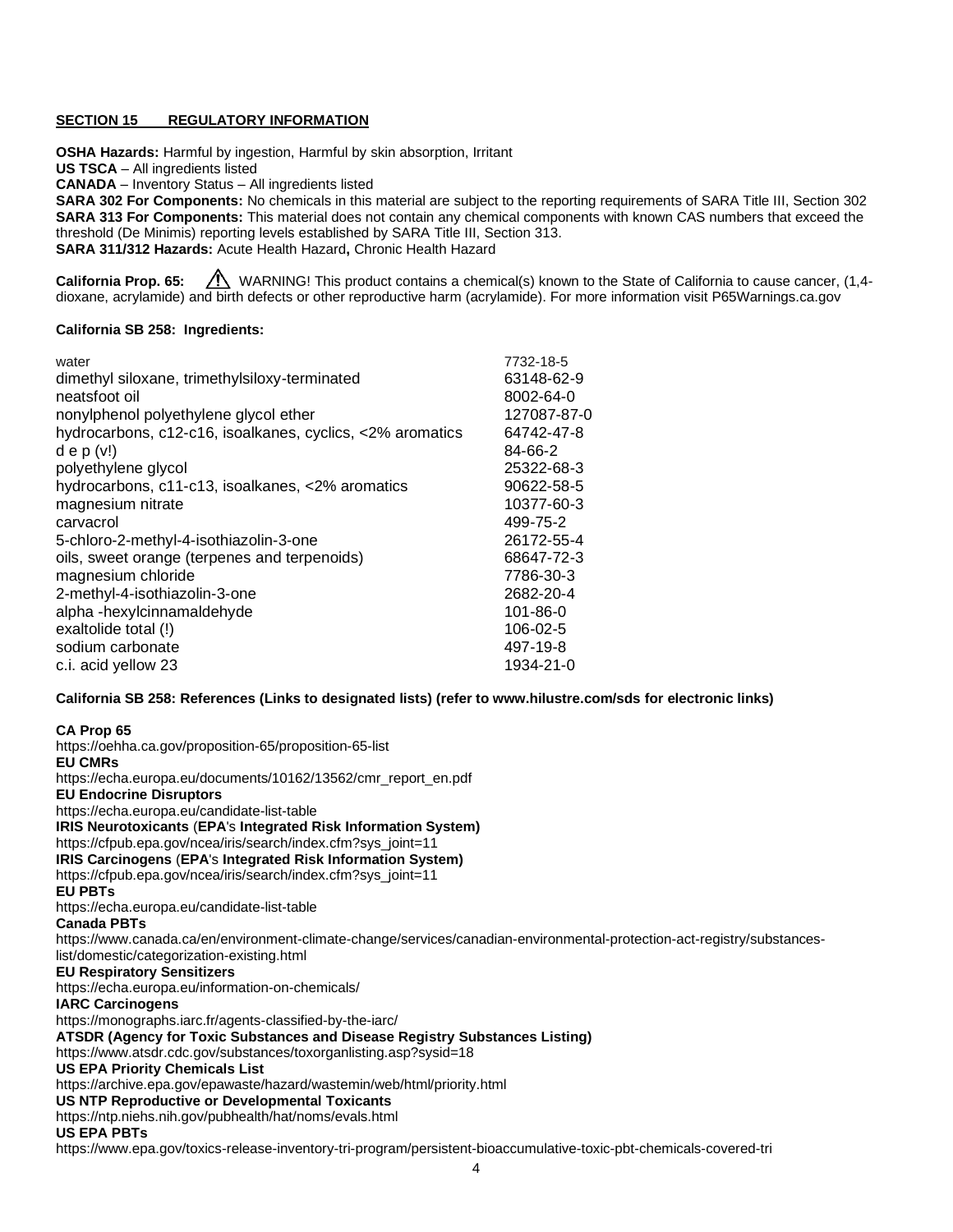## **SECTION 15 REGULATORY INFORMATION**

**OSHA Hazards:** Harmful by ingestion, Harmful by skin absorption, Irritant

**US TSCA** – All ingredients listed

**CANADA** – Inventory Status – All ingredients listed

**SARA 302 For Components:** No chemicals in this material are subject to the reporting requirements of SARA Title III, Section 302 **SARA 313 For Components:** This material does not contain any chemical components with known CAS numbers that exceed the threshold (De Minimis) reporting levels established by SARA Title III, Section 313. **SARA 311/312 Hazards:** Acute Health Hazard**,** Chronic Health Hazard

**California Prop. 65:** *(I)* WARNING! This product contains a chemical(s) known to the State of California to cause cancer, (1,4dioxane, acrylamide) and birth defects or other reproductive harm (acrylamide). For more information visit P65Warnings.ca.gov

## **California SB 258: Ingredients:**

| water                                                     | 7732-18-5      |
|-----------------------------------------------------------|----------------|
| dimethyl siloxane, trimethylsiloxy-terminated             | 63148-62-9     |
| neatsfoot oil                                             | 8002-64-0      |
| nonylphenol polyethylene glycol ether                     | 127087-87-0    |
| hydrocarbons, c12-c16, isoalkanes, cyclics, <2% aromatics | 64742-47-8     |
| $d \in p (v!)$                                            | 84-66-2        |
| polyethylene glycol                                       | 25322-68-3     |
| hydrocarbons, c11-c13, isoalkanes, <2% aromatics          | 90622-58-5     |
| magnesium nitrate                                         | 10377-60-3     |
| carvacrol                                                 | 499-75-2       |
| 5-chloro-2-methyl-4-isothiazolin-3-one                    | 26172-55-4     |
| oils, sweet orange (terpenes and terpenoids)              | 68647-72-3     |
| magnesium chloride                                        | 7786-30-3      |
| 2-methyl-4-isothiazolin-3-one                             | 2682-20-4      |
| alpha-hexylcinnamaldehyde                                 | $101 - 86 - 0$ |
| exaltolide total (!)                                      | 106-02-5       |
| sodium carbonate                                          | 497-19-8       |
| c.i. acid yellow 23                                       | 1934-21-0      |
|                                                           |                |

**California SB 258: References (Links to designated lists) (refer t[o www.hilustre.com/sds](http://www.hilustre.com/sds) for electronic links)**

# **CA Prop 65**

<https://oehha.ca.gov/proposition-65/proposition-65-list> **EU CMRs** [https://echa.europa.eu/documents/10162/13562/cmr\\_report\\_en.pdf](https://echa.europa.eu/documents/10162/13562/cmr_report_en.pdf) **EU Endocrine Disruptors** <https://echa.europa.eu/candidate-list-table> **IRIS Neurotoxicants** (**EPA**'s **Integrated Risk Information System)** [https://cfpub.epa.gov/ncea/iris/search/index.cfm?sys\\_joint=11](https://cfpub.epa.gov/ncea/iris/search/index.cfm?sys_joint=11) **IRIS Carcinogens** (**EPA**'s **Integrated Risk Information System)** [https://cfpub.epa.gov/ncea/iris/search/index.cfm?sys\\_joint=11](https://cfpub.epa.gov/ncea/iris/search/index.cfm?sys_joint=11) **EU PBTs** <https://echa.europa.eu/candidate-list-table> **Canada PBTs** [https://www.canada.ca/en/environment-climate-change/services/canadian-environmental-protection-act-registry/substances](https://www.canada.ca/en/environment-climate-change/services/canadian-environmental-protection-act-registry/substances-list/domestic/categorization-existing.html)[list/domestic/categorization-existing.html](https://www.canada.ca/en/environment-climate-change/services/canadian-environmental-protection-act-registry/substances-list/domestic/categorization-existing.html) **EU Respiratory Sensitizers** <https://echa.europa.eu/information-on-chemicals/> **IARC Carcinogens** <https://monographs.iarc.fr/agents-classified-by-the-iarc/> **ATSDR (Agency for Toxic Substances and Disease Registry Substances Listing)** <https://www.atsdr.cdc.gov/substances/toxorganlisting.asp?sysid=18> **US EPA Priority Chemicals List** <https://archive.epa.gov/epawaste/hazard/wastemin/web/html/priority.html> **US NTP Reproductive or Developmental Toxicants** <https://ntp.niehs.nih.gov/pubhealth/hat/noms/evals.html> **US EPA PBTs** <https://www.epa.gov/toxics-release-inventory-tri-program/persistent-bioaccumulative-toxic-pbt-chemicals-covered-tri>